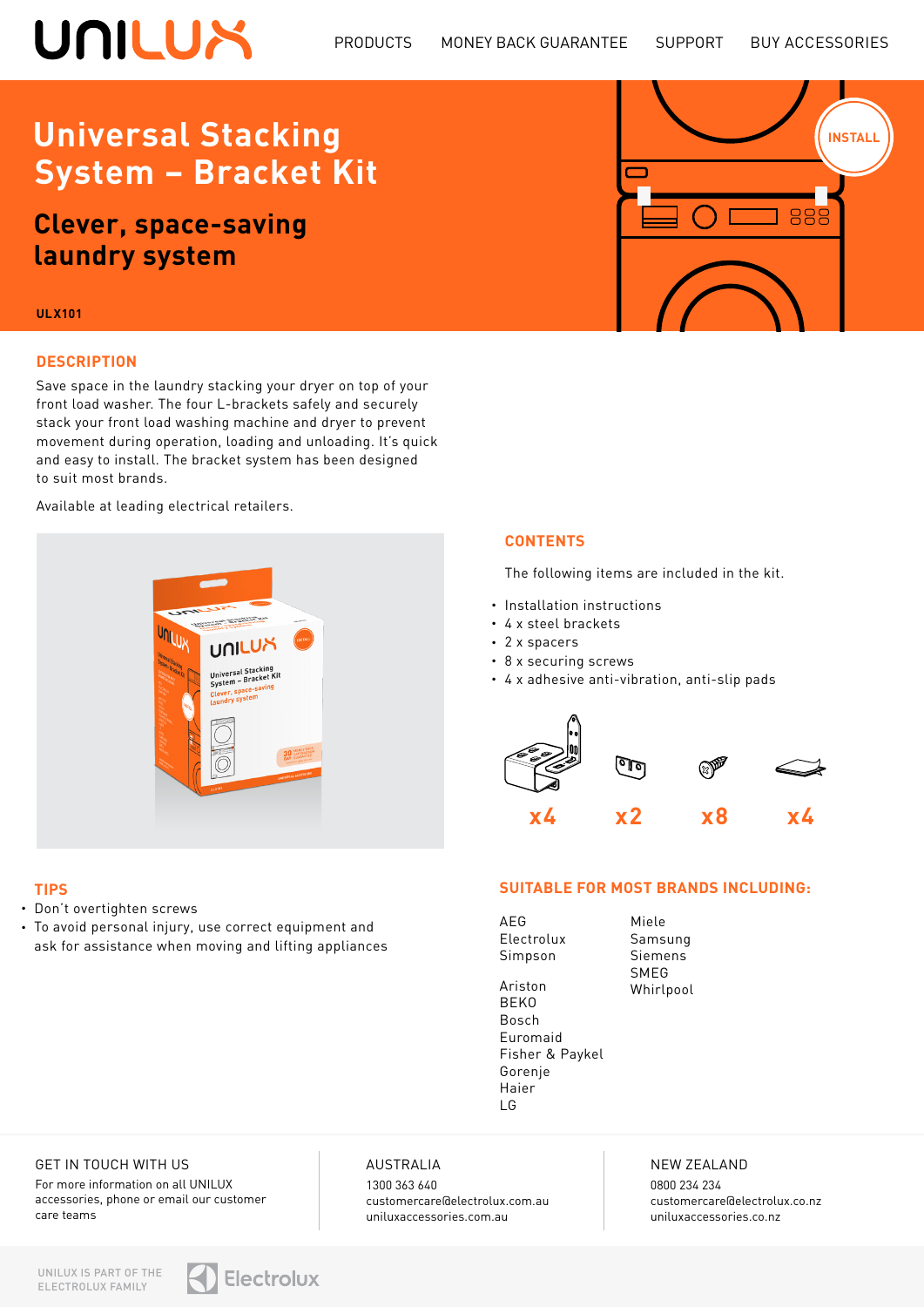# UNILUX

**INSTALL** 

889

## **Universal Stacking System – Bracket Kit**

**Clever, space-saving laundry system**

#### **ULX101**

#### **DESCRIPTION**

Save space in the laundry stacking your dryer on top of your front load washer. The four L-brackets safely and securely stack your front load washing machine and dryer to prevent movement during operation, loading and unloading. It's quick and easy to install. The bracket system has been designed to suit most brands.

> **JUILU** Universal Stacking<br>System - Bracket Kit

Available at leading electrical retailers.

#### **CONTENTS**

The following items are included in the kit.

- Installation instructions
- 4 x steel brackets
- 2 x spacers
- 8 x securing screws
- 4 x adhesive anti-vibration, anti-slip pads



#### **SUITABLE FOR MOST BRANDS INCLUDING:**

| AFG            |
|----------------|
| Electrolux     |
| Simpson        |
|                |
| Ariston        |
| <b>BEKO</b>    |
| Bosch          |
| Furomaid       |
| Fisher & Payke |
| Gorenje        |
| Haier          |

Miele Samsung Siemens SMEG Whirlpool

Fisher & Paykel Haier LG

GET IN TOUCH WITH US

• Don't overtighten screws

• To avoid personal injury, use correct equipment and ask for assistance when moving and lifting appliances

**TIPS**

For more information on all UNILUX accessories, phone or email our customer care teams

#### AUSTRALIA

1300 363 640 customercare@electrolux.com.au uniluxaccessories.com.au

#### NEW ZEALAND

0800 234 234 customercare@electrolux.co.nz uniluxaccessories.co.nz

UNILUX IS PART OF THE ELECTROLUX FAMILY